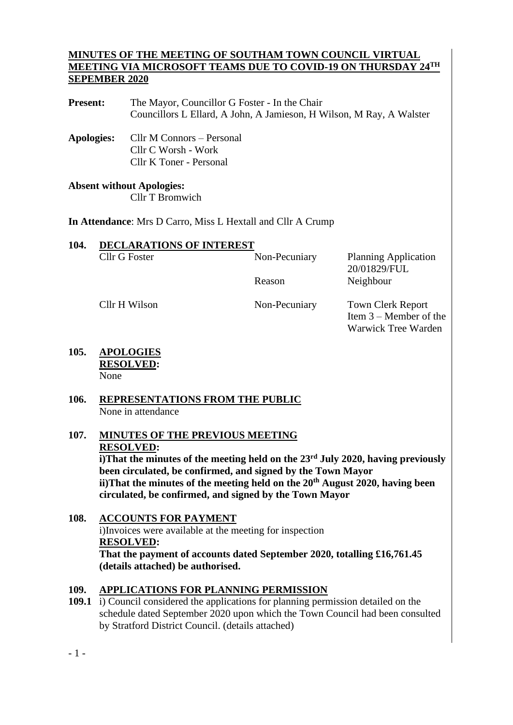## **MINUTES OF THE MEETING OF SOUTHAM TOWN COUNCIL VIRTUAL MEETING VIA MICROSOFT TEAMS DUE TO COVID-19 ON THURSDAY 24 TH SEPEMBER 2020**

Present: The Mayor, Councillor G Foster - In the Chair Councillors L Ellard, A John, A Jamieson, H Wilson, M Ray, A Walster

**Apologies:** Cllr M Connors – Personal Cllr C Worsh - Work Cllr K Toner - Personal

#### **Absent without Apologies:** Cllr T Bromwich

**In Attendance**: Mrs D Carro, Miss L Hextall and Cllr A Crump

| 104. | <b>DECLARATIONS OF INTEREST</b> |               |                             |  |  |  |
|------|---------------------------------|---------------|-----------------------------|--|--|--|
|      | Cllr G Foster                   | Non-Pecuniary | <b>Planning Application</b> |  |  |  |
|      |                                 |               | 20/01829/FUL                |  |  |  |
|      |                                 | Reason        | Neighbour                   |  |  |  |
|      |                                 |               |                             |  |  |  |

Cllr H Wilson Non-Pecuniary Town Clerk Report Item 3 – Member of the Warwick Tree Warden

**105. APOLOGIES RESOLVED:** None

## **106. REPRESENTATIONS FROM THE PUBLIC** None in attendance

#### **107. MINUTES OF THE PREVIOUS MEETING RESOLVED: i)That the minutes of the meeting held on the 23rd July 2020, having previously been circulated, be confirmed, and signed by the Town Mayor ii)That the minutes of the meeting held on the 20th August 2020, having been circulated, be confirmed, and signed by the Town Mayor**

#### **108. ACCOUNTS FOR PAYMENT** i)Invoices were available at the meeting for inspection **RESOLVED: That the payment of accounts dated September 2020, totalling £16,761.45 (details attached) be authorised.**

## **109. APPLICATIONS FOR PLANNING PERMISSION**

**109.1** i) Council considered the applications for planning permission detailed on the schedule dated September 2020 upon which the Town Council had been consulted by Stratford District Council. (details attached)

- 1 -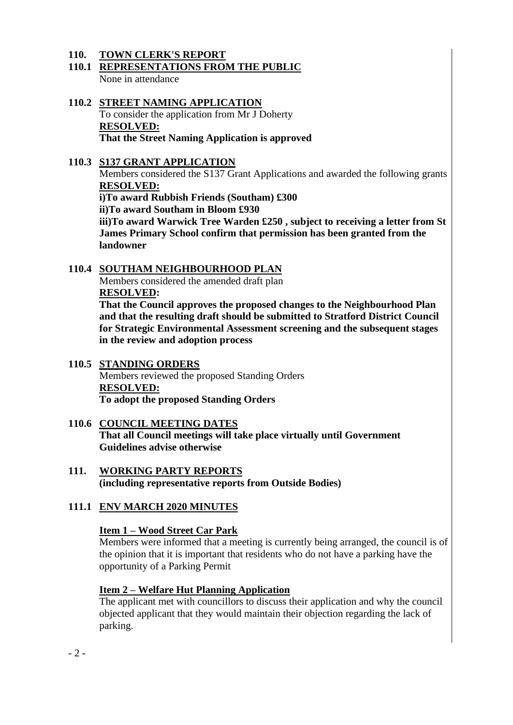#### **110. TOWN CLERK'S REPORT**

- **110.1 REPRESENTATIONS FROM THE PUBLIC** None in attendance
- **110.2 STREET NAMING APPLICATION** To consider the application from Mr J Doherty **RESOLVED: That the Street Naming Application is approved**
- **110.3 S137 GRANT APPLICATION**

Members considered the S137 Grant Applications and awarded the following grants **RESOLVED:**

**i)To award Rubbish Friends (Southam) £300**

**ii)To award Southam in Bloom £930**

**iii)To award Warwick Tree Warden £250 , subject to receiving a letter from St James Primary School confirm that permission has been granted from the landowner** 

## **110.4 SOUTHAM NEIGHBOURHOOD PLAN**

Members considered the amended draft plan **RESOLVED:**

**That the Council approves the proposed changes to the Neighbourhood Plan and that the resulting draft should be submitted to Stratford District Council for Strategic Environmental Assessment screening and the subsequent stages in the review and adoption process**

## **110.5 STANDING ORDERS**

Members reviewed the proposed Standing Orders **RESOLVED: To adopt the proposed Standing Orders**

- **110.6 COUNCIL MEETING DATES That all Council meetings will take place virtually until Government Guidelines advise otherwise**
- **111. WORKING PARTY REPORTS (including representative reports from Outside Bodies)**
- **111.1 ENV MARCH 2020 MINUTES**

## **Item 1 – Wood Street Car Park**

Members were informed that a meeting is currently being arranged, the council is of the opinion that it is important that residents who do not have a parking have the opportunity of a Parking Permit

## **Item 2 – Welfare Hut Planning Application**

The applicant met with councillors to discuss their application and why the council objected applicant that they would maintain their objection regarding the lack of parking.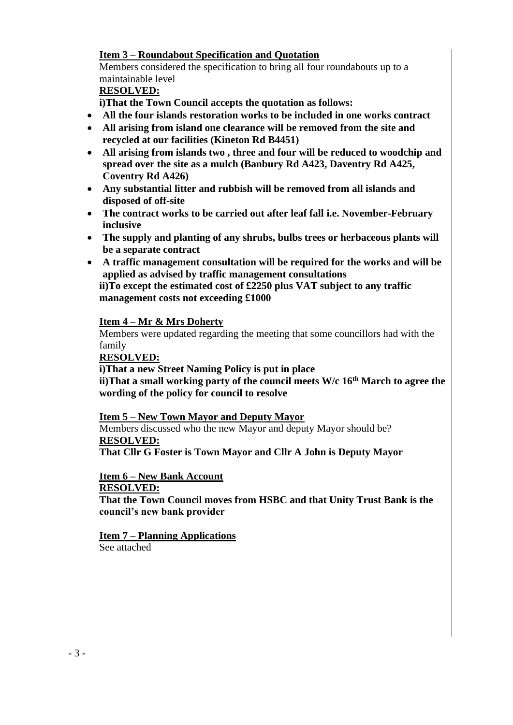## **Item 3 – Roundabout Specification and Quotation**

Members considered the specification to bring all four roundabouts up to a maintainable level

## **RESOLVED:**

**i)That the Town Council accepts the quotation as follows:**

- **All the four islands restoration works to be included in one works contract**
- **All arising from island one clearance will be removed from the site and recycled at our facilities (Kineton Rd B4451)**
- **All arising from islands two , three and four will be reduced to woodchip and spread over the site as a mulch (Banbury Rd A423, Daventry Rd A425, Coventry Rd A426)**
- **Any substantial litter and rubbish will be removed from all islands and disposed of off-site**
- **The contract works to be carried out after leaf fall i.e. November-February inclusive**
- **The supply and planting of any shrubs, bulbs trees or herbaceous plants will be a separate contract**
- **A traffic management consultation will be required for the works and will be applied as advised by traffic management consultations ii)To except the estimated cost of £2250 plus VAT subject to any traffic management costs not exceeding £1000**

## **Item 4 – Mr & Mrs Doherty**

Members were updated regarding the meeting that some councillors had with the family

**RESOLVED:**

**i)That a new Street Naming Policy is put in place ii)That a small working party of the council meets W/c 16th March to agree the wording of the policy for council to resolve**

## **Item 5 – New Town Mayor and Deputy Mayor**

Members discussed who the new Mayor and deputy Mayor should be? **RESOLVED:**

**That Cllr G Foster is Town Mayor and Cllr A John is Deputy Mayor**

**Item 6 – New Bank Account RESOLVED:**

**That the Town Council moves from HSBC and that Unity Trust Bank is the** 

**council's new bank provider** 

**Item 7 – Planning Applications**  See attached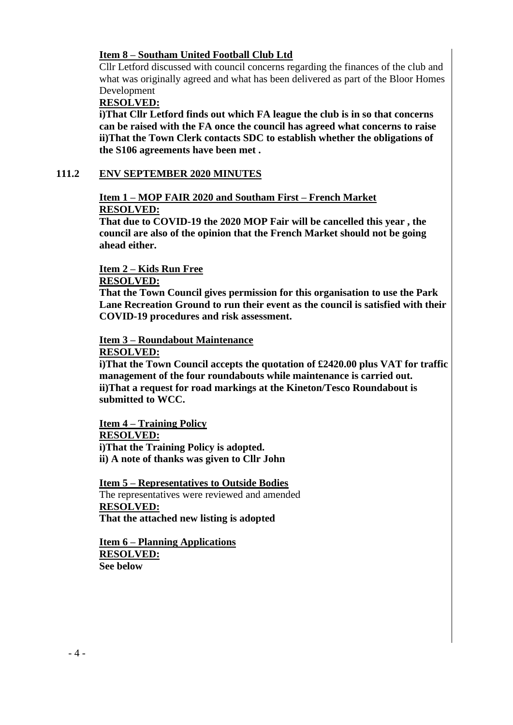### **Item 8 – Southam United Football Club Ltd**

Cllr Letford discussed with council concerns regarding the finances of the club and what was originally agreed and what has been delivered as part of the Bloor Homes Development

#### **RESOLVED:**

**i)That Cllr Letford finds out which FA league the club is in so that concerns can be raised with the FA once the council has agreed what concerns to raise ii)That the Town Clerk contacts SDC to establish whether the obligations of the S106 agreements have been met .**

#### **111.2 ENV SEPTEMBER 2020 MINUTES**

## **Item 1 – MOP FAIR 2020 and Southam First – French Market RESOLVED:**

**That due to COVID-19 the 2020 MOP Fair will be cancelled this year , the council are also of the opinion that the French Market should not be going ahead either.** 

#### **Item 2 – Kids Run Free**

#### **RESOLVED:**

**That the Town Council gives permission for this organisation to use the Park Lane Recreation Ground to run their event as the council is satisfied with their COVID-19 procedures and risk assessment.**

#### **Item 3 – Roundabout Maintenance RESOLVED:**

**i)That the Town Council accepts the quotation of £2420.00 plus VAT for traffic management of the four roundabouts while maintenance is carried out. ii)That a request for road markings at the Kineton/Tesco Roundabout is submitted to WCC.**

**Item 4 – Training Policy RESOLVED: i)That the Training Policy is adopted. ii) A note of thanks was given to Cllr John**

**Item 5 – Representatives to Outside Bodies**  The representatives were reviewed and amended **RESOLVED: That the attached new listing is adopted**

**Item 6 – Planning Applications RESOLVED: See below**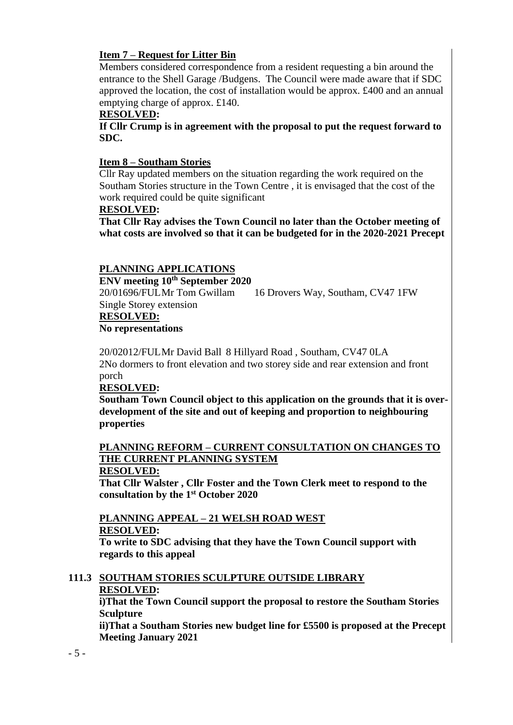## **Item 7 – Request for Litter Bin**

Members considered correspondence from a resident requesting a bin around the entrance to the Shell Garage /Budgens. The Council were made aware that if SDC approved the location, the cost of installation would be approx. £400 and an annual emptying charge of approx. £140.

#### **RESOLVED:**

**If Cllr Crump is in agreement with the proposal to put the request forward to SDC.**

#### **Item 8 – Southam Stories**

Cllr Ray updated members on the situation regarding the work required on the Southam Stories structure in the Town Centre , it is envisaged that the cost of the work required could be quite significant

#### **RESOLVED:**

**That Cllr Ray advises the Town Council no later than the October meeting of what costs are involved so that it can be budgeted for in the 2020-2021 Precept**

## **PLANNING APPLICATIONS**

**ENV meeting 10th September 2020** 20/01696/FULMr Tom Gwillam 16 Drovers Way, Southam, CV47 1FW Single Storey extension **RESOLVED:**

#### **No representations**

20/02012/FULMr David Ball 8 Hillyard Road , Southam, CV47 0LA 2No dormers to front elevation and two storey side and rear extension and front porch

#### **RESOLVED:**

**Southam Town Council object to this application on the grounds that it is overdevelopment of the site and out of keeping and proportion to neighbouring properties**

## **PLANNING REFORM – CURRENT CONSULTATION ON CHANGES TO THE CURRENT PLANNING SYSTEM**

#### **RESOLVED:**

**That Cllr Walster , Cllr Foster and the Town Clerk meet to respond to the consultation by the 1st October 2020**

#### **PLANNING APPEAL – 21 WELSH ROAD WEST RESOLVED:**

**To write to SDC advising that they have the Town Council support with regards to this appeal**

#### **111.3 SOUTHAM STORIES SCULPTURE OUTSIDE LIBRARY RESOLVED:**

**i)That the Town Council support the proposal to restore the Southam Stories Sculpture** 

**ii)That a Southam Stories new budget line for £5500 is proposed at the Precept Meeting January 2021**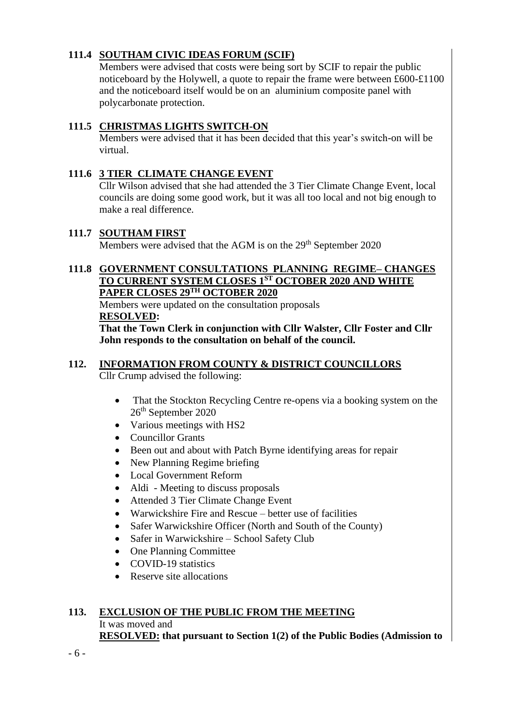## **111.4 SOUTHAM CIVIC IDEAS FORUM (SCIF)**

Members were advised that costs were being sort by SCIF to repair the public noticeboard by the Holywell, a quote to repair the frame were between £600-£1100 and the noticeboard itself would be on an aluminium composite panel with polycarbonate protection.

## **111.5 CHRISTMAS LIGHTS SWITCH-ON**

Members were advised that it has been decided that this year's switch-on will be virtual.

## **111.6 3 TIER CLIMATE CHANGE EVENT**

Cllr Wilson advised that she had attended the 3 Tier Climate Change Event, local councils are doing some good work, but it was all too local and not big enough to make a real difference.

## **111.7 SOUTHAM FIRST**

Members were advised that the AGM is on the 29<sup>th</sup> September 2020

## **111.8 GOVERNMENT CONSULTATIONS PLANNING REGIME– CHANGES TO CURRENT SYSTEM CLOSES 1ST OCTOBER 2020 AND WHITE PAPER CLOSES 29TH OCTOBER 2020**

Members were updated on the consultation proposals **RESOLVED:**

**That the Town Clerk in conjunction with Cllr Walster, Cllr Foster and Cllr John responds to the consultation on behalf of the council.**

# **112. INFORMATION FROM COUNTY & DISTRICT COUNCILLORS**

Cllr Crump advised the following:

- That the Stockton Recycling Centre re-opens via a booking system on the 26th September 2020
- Various meetings with HS2
- Councillor Grants
- Been out and about with Patch Byrne identifying areas for repair
- New Planning Regime briefing
- Local Government Reform
- Aldi Meeting to discuss proposals
- Attended 3 Tier Climate Change Event
- Warwickshire Fire and Rescue better use of facilities
- Safer Warwickshire Officer (North and South of the County)
- Safer in Warwickshire School Safety Club
- One Planning Committee
- COVID-19 statistics
- Reserve site allocations

## **113. EXCLUSION OF THE PUBLIC FROM THE MEETING**

It was moved and

**RESOLVED: that pursuant to Section 1(2) of the Public Bodies (Admission to**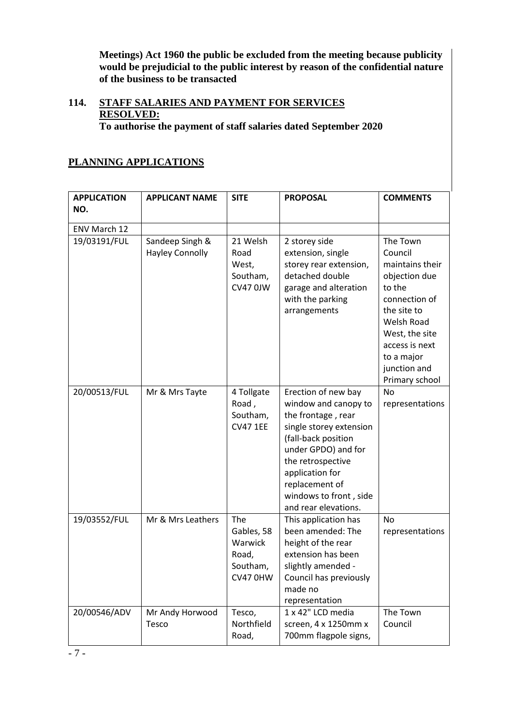**Meetings) Act 1960 the public be excluded from the meeting because publicity would be prejudicial to the public interest by reason of the confidential nature of the business to be transacted**

## **114. STAFF SALARIES AND PAYMENT FOR SERVICES RESOLVED:**

**To authorise the payment of staff salaries dated September 2020**

## **PLANNING APPLICATIONS**

| <b>APPLICATION</b> | <b>APPLICANT NAME</b>                     | <b>SITE</b>                                                   | <b>PROPOSAL</b>                                                                                                                                                                                                                                        | <b>COMMENTS</b>                                                                                                                                                                                            |
|--------------------|-------------------------------------------|---------------------------------------------------------------|--------------------------------------------------------------------------------------------------------------------------------------------------------------------------------------------------------------------------------------------------------|------------------------------------------------------------------------------------------------------------------------------------------------------------------------------------------------------------|
| NO.                |                                           |                                                               |                                                                                                                                                                                                                                                        |                                                                                                                                                                                                            |
| ENV March 12       |                                           |                                                               |                                                                                                                                                                                                                                                        |                                                                                                                                                                                                            |
| 19/03191/FUL       | Sandeep Singh &<br><b>Hayley Connolly</b> | 21 Welsh<br>Road<br>West,<br>Southam,<br>CV47 0JW             | 2 storey side<br>extension, single<br>storey rear extension,<br>detached double<br>garage and alteration<br>with the parking<br>arrangements                                                                                                           | The Town<br>Council<br>maintains their<br>objection due<br>to the<br>connection of<br>the site to<br><b>Welsh Road</b><br>West, the site<br>access is next<br>to a major<br>junction and<br>Primary school |
| 20/00513/FUL       | Mr & Mrs Tayte                            | 4 Tollgate<br>Road,<br>Southam,<br><b>CV47 1EE</b>            | Erection of new bay<br>window and canopy to<br>the frontage, rear<br>single storey extension<br>(fall-back position<br>under GPDO) and for<br>the retrospective<br>application for<br>replacement of<br>windows to front, side<br>and rear elevations. | No<br>representations                                                                                                                                                                                      |
| 19/03552/FUL       | Mr & Mrs Leathers                         | The<br>Gables, 58<br>Warwick<br>Road,<br>Southam,<br>CV47 0HW | This application has<br>been amended: The<br>height of the rear<br>extension has been<br>slightly amended -<br>Council has previously<br>made no<br>representation                                                                                     | <b>No</b><br>representations                                                                                                                                                                               |
| 20/00546/ADV       | Mr Andy Horwood<br>Tesco                  | Tesco,<br>Northfield<br>Road,                                 | 1 x 42" LCD media<br>screen, 4 x 1250mm x<br>700mm flagpole signs,                                                                                                                                                                                     | The Town<br>Council                                                                                                                                                                                        |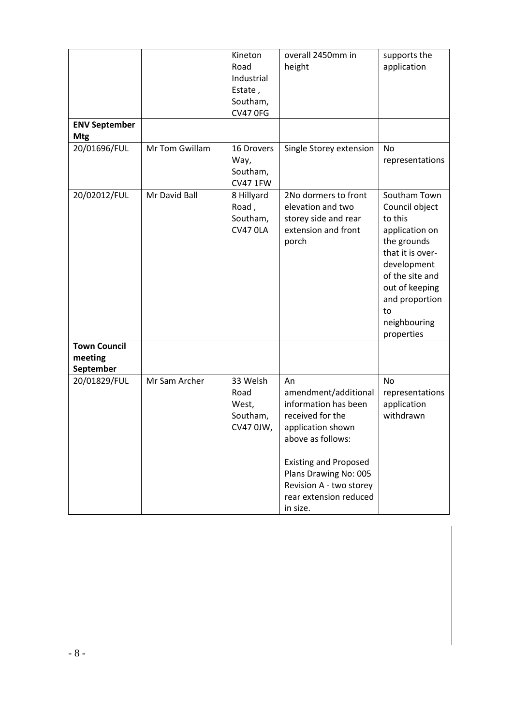| <b>ENV September</b>                        |                | Kineton<br>Road<br>Industrial<br>Estate,<br>Southam,<br><b>CV47 0FG</b> | overall 2450mm in<br>height                                                                                                                                                                                                                | supports the<br>application                                                                                                                                                                              |
|---------------------------------------------|----------------|-------------------------------------------------------------------------|--------------------------------------------------------------------------------------------------------------------------------------------------------------------------------------------------------------------------------------------|----------------------------------------------------------------------------------------------------------------------------------------------------------------------------------------------------------|
| <b>Mtg</b>                                  |                |                                                                         |                                                                                                                                                                                                                                            |                                                                                                                                                                                                          |
| 20/01696/FUL                                | Mr Tom Gwillam | 16 Drovers<br>Way,<br>Southam,<br><b>CV47 1FW</b>                       | Single Storey extension                                                                                                                                                                                                                    | No<br>representations                                                                                                                                                                                    |
| 20/02012/FUL                                | Mr David Ball  | 8 Hillyard<br>Road,<br>Southam,<br><b>CV47 0LA</b>                      | 2No dormers to front<br>elevation and two<br>storey side and rear<br>extension and front<br>porch                                                                                                                                          | Southam Town<br>Council object<br>to this<br>application on<br>the grounds<br>that it is over-<br>development<br>of the site and<br>out of keeping<br>and proportion<br>to<br>neighbouring<br>properties |
| <b>Town Council</b><br>meeting<br>September |                |                                                                         |                                                                                                                                                                                                                                            |                                                                                                                                                                                                          |
| 20/01829/FUL                                | Mr Sam Archer  | 33 Welsh<br>Road<br>West,<br>Southam,<br>CV47 0JW,                      | An<br>amendment/additional<br>information has been<br>received for the<br>application shown<br>above as follows:<br><b>Existing and Proposed</b><br>Plans Drawing No: 005<br>Revision A - two storey<br>rear extension reduced<br>in size. | No<br>representations<br>application<br>withdrawn                                                                                                                                                        |